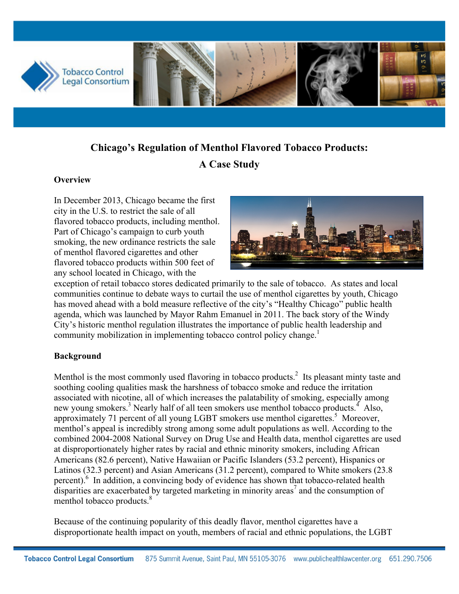

# **Chicago's Regulation of Menthol Flavored Tobacco Products: A Case Study**

#### **Overview**

In December 2013, Chicago became the first city in the U.S. to restrict the sale of all flavored tobacco products, including menthol. Part of Chicago's campaign to curb youth smoking, the new ordinance restricts the sale of menthol flavored cigarettes and other flavored tobacco products within 500 feet of any school located in Chicago, with the



exception of retail tobacco stores dedicated primarily to the sale of tobacco. As states and local communities continue to debate ways to curtail the use of menthol cigarettes by youth, Chicago has moved ahead with a bold measure reflective of the city's "Healthy Chicago" public health agenda, which was launched by Mayor Rahm Emanuel in 2011. The back story of the Windy City's historic menthol regulation illustrates the importance of public health leadership and community mobilization in implementing tobacco control policy change.<sup>1</sup>

#### **Background**

Menthol is the most commonly used flavoring in tobacco products.<sup>2</sup> Its pleasant minty taste and soothing cooling qualities mask the harshness of tobacco smoke and reduce the irritation associated with nicotine, all of which increases the palatability of smoking, especially among new young smokers.<sup>3</sup> Nearly half of all teen smokers use menthol tobacco products.<sup>4</sup> Also, approximately 71 percent of all young LGBT smokers use menthol cigarettes.<sup>5</sup> Moreover, menthol's appeal is incredibly strong among some adult populations as well. According to the combined 2004-2008 National Survey on Drug Use and Health data, menthol cigarettes are used at disproportionately higher rates by racial and ethnic minority smokers, including African Americans (82.6 percent), Native Hawaiian or Pacific Islanders (53.2 percent), Hispanics or Latinos (32.3 percent) and Asian Americans (31.2 percent), compared to White smokers (23.8 percent). $6 \text{ In addition, a convincing body of evidence has shown that to bacco-related health}$ disparities are exacerbated by targeted marketing in minority areas<sup>7</sup> and the consumption of menthol tobacco products.<sup>8</sup>

Because of the continuing popularity of this deadly flavor, menthol cigarettes have a disproportionate health impact on youth, members of racial and ethnic populations, the LGBT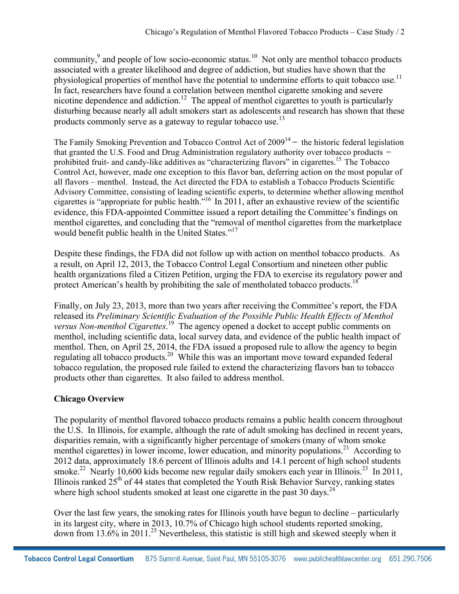community,<sup>9</sup> and people of low socio-economic status.<sup>10</sup> Not only are menthol tobacco products associated with a greater likelihood and degree of addiction, but studies have shown that the physiological properties of menthol have the potential to undermine efforts to quit tobacco use.<sup>11</sup> In fact, researchers have found a correlation between menthol cigarette smoking and severe nicotine dependence and addiction.<sup>12</sup> The appeal of menthol cigarettes to youth is particularly disturbing because nearly all adult smokers start as adolescents and research has shown that these products commonly serve as a gateway to regular tobacco use.<sup>13</sup>

The Family Smoking Prevention and Tobacco Control Act of  $2009<sup>14</sup>$  – the historic federal legislation that granted the U.S. Food and Drug Administration regulatory authority over tobacco products – prohibited fruit- and candy-like additives as "characterizing flavors" in cigarettes.<sup>15</sup> The Tobacco Control Act, however, made one exception to this flavor ban, deferring action on the most popular of all flavors – menthol. Instead, the Act directed the FDA to establish a Tobacco Products Scientific Advisory Committee, consisting of leading scientific experts, to determine whether allowing menthol cigarettes is "appropriate for public health."<sup>16</sup> In 2011, after an exhaustive review of the scientific evidence, this FDA-appointed Committee issued a report detailing the Committee's findings on menthol cigarettes, and concluding that the "removal of menthol cigarettes from the marketplace would benefit public health in the United States."<sup>17</sup>

Despite these findings, the FDA did not follow up with action on menthol tobacco products. As a result, on April 12, 2013, the Tobacco Control Legal Consortium and nineteen other public health organizations filed a Citizen Petition, urging the FDA to exercise its regulatory power and protect American's health by prohibiting the sale of mentholated tobacco products.<sup>18</sup>

Finally, on July 23, 2013, more than two years after receiving the Committee's report, the FDA released its *Preliminary Scientific Evaluation of the Possible Public Health Effects of Menthol versus Non-menthol Cigarettes*. 19 The agency opened a docket to accept public comments on menthol, including scientific data, local survey data, and evidence of the public health impact of menthol. Then, on April 25, 2014, the FDA issued a proposed rule to allow the agency to begin regulating all tobacco products.20 While this was an important move toward expanded federal tobacco regulation, the proposed rule failed to extend the characterizing flavors ban to tobacco products other than cigarettes. It also failed to address menthol.

# **Chicago Overview**

The popularity of menthol flavored tobacco products remains a public health concern throughout the U.S. In Illinois, for example, although the rate of adult smoking has declined in recent years, disparities remain, with a significantly higher percentage of smokers (many of whom smoke menthol cigarettes) in lower income, lower education, and minority populations.<sup>21</sup> According to 2012 data, approximately 18.6 percent of Illinois adults and 14.1 percent of high school students smoke.<sup>22</sup> Nearly 10,600 kids become new regular daily smokers each year in Illinois.<sup>23</sup> In 2011, Illinois ranked 25<sup>th</sup> of 44 states that completed the Youth Risk Behavior Survey, ranking states where high school students smoked at least one cigarette in the past 30 days.<sup>24</sup>

Over the last few years, the smoking rates for Illinois youth have begun to decline – particularly in its largest city, where in 2013, 10.7% of Chicago high school students reported smoking, down from 13.6% in 2011.<sup>25</sup> Nevertheless, this statistic is still high and skewed steeply when it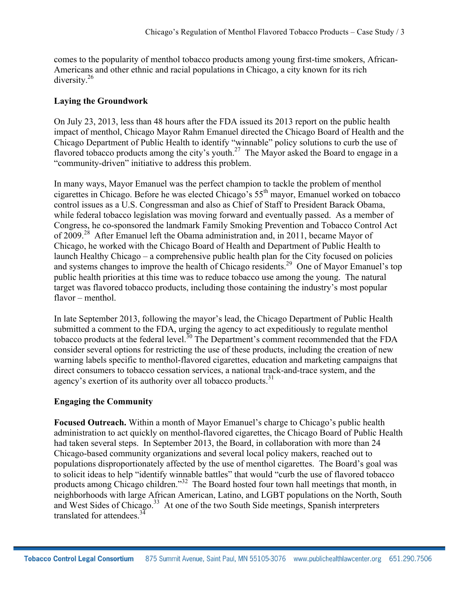comes to the popularity of menthol tobacco products among young first-time smokers, African-Americans and other ethnic and racial populations in Chicago, a city known for its rich diversity.26

#### **Laying the Groundwork**

On July 23, 2013, less than 48 hours after the FDA issued its 2013 report on the public health impact of menthol, Chicago Mayor Rahm Emanuel directed the Chicago Board of Health and the Chicago Department of Public Health to identify "winnable" policy solutions to curb the use of flavored tobacco products among the city's youth.<sup>27</sup> The Mayor asked the Board to engage in a "community-driven" initiative to address this problem.

In many ways, Mayor Emanuel was the perfect champion to tackle the problem of menthol cigarettes in Chicago. Before he was elected Chicago's 55th mayor, Emanuel worked on tobacco control issues as a U.S. Congressman and also as Chief of Staff to President Barack Obama, while federal tobacco legislation was moving forward and eventually passed. As a member of Congress, he co-sponsored the landmark Family Smoking Prevention and Tobacco Control Act of 2009.<sup>28</sup> After Emanuel left the Obama administration and, in 2011, became Mayor of Chicago, he worked with the Chicago Board of Health and Department of Public Health to launch Healthy Chicago – a comprehensive public health plan for the City focused on policies and systems changes to improve the health of Chicago residents.<sup>29</sup> One of Mayor Emanuel's top public health priorities at this time was to reduce tobacco use among the young. The natural target was flavored tobacco products, including those containing the industry's most popular flavor – menthol.

In late September 2013, following the mayor's lead, the Chicago Department of Public Health submitted a comment to the FDA, urging the agency to act expeditiously to regulate menthol tobacco products at the federal level.<sup>30</sup> The Department's comment recommended that the FDA consider several options for restricting the use of these products, including the creation of new warning labels specific to menthol-flavored cigarettes, education and marketing campaigns that direct consumers to tobacco cessation services, a national track-and-trace system, and the agency's exertion of its authority over all tobacco products.<sup>31</sup>

# **Engaging the Community**

**Focused Outreach.** Within a month of Mayor Emanuel's charge to Chicago's public health administration to act quickly on menthol-flavored cigarettes, the Chicago Board of Public Health had taken several steps. In September 2013, the Board, in collaboration with more than 24 Chicago-based community organizations and several local policy makers, reached out to populations disproportionately affected by the use of menthol cigarettes. The Board's goal was to solicit ideas to help "identify winnable battles" that would "curb the use of flavored tobacco products among Chicago children."<sup>32</sup> The Board hosted four town hall meetings that month, in neighborhoods with large African American, Latino, and LGBT populations on the North, South and West Sides of Chicago. <sup>33</sup> At one of the two South Side meetings, Spanish interpreters translated for attendees.<sup>34</sup>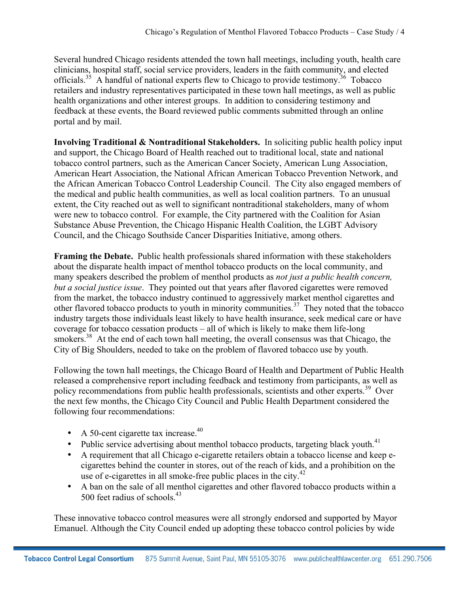Several hundred Chicago residents attended the town hall meetings, including youth, health care clinicians, hospital staff, social service providers, leaders in the faith community, and elected officials.<sup>35</sup> A handful of national experts flew to Chicago to provide testimony.<sup>36</sup> Tobacco retailers and industry representatives participated in these town hall meetings, as well as public health organizations and other interest groups. In addition to considering testimony and feedback at these events, the Board reviewed public comments submitted through an online portal and by mail.

**Involving Traditional & Nontraditional Stakeholders.** In soliciting public health policy input and support, the Chicago Board of Health reached out to traditional local, state and national tobacco control partners, such as the American Cancer Society, American Lung Association, American Heart Association, the National African American Tobacco Prevention Network, and the African American Tobacco Control Leadership Council. The City also engaged members of the medical and public health communities, as well as local coalition partners. To an unusual extent, the City reached out as well to significant nontraditional stakeholders, many of whom were new to tobacco control. For example, the City partnered with the Coalition for Asian Substance Abuse Prevention, the Chicago Hispanic Health Coalition, the LGBT Advisory Council, and the Chicago Southside Cancer Disparities Initiative, among others.

**Framing the Debate.** Public health professionals shared information with these stakeholders about the disparate health impact of menthol tobacco products on the local community, and many speakers described the problem of menthol products as *not just a public health concern, but a social justice issue*. They pointed out that years after flavored cigarettes were removed from the market, the tobacco industry continued to aggressively market menthol cigarettes and other flavored tobacco products to youth in minority communities.<sup>37</sup> They noted that the tobacco industry targets those individuals least likely to have health insurance, seek medical care or have coverage for tobacco cessation products – all of which is likely to make them life-long smokers.<sup>38</sup> At the end of each town hall meeting, the overall consensus was that Chicago, the City of Big Shoulders, needed to take on the problem of flavored tobacco use by youth.

Following the town hall meetings, the Chicago Board of Health and Department of Public Health released a comprehensive report including feedback and testimony from participants, as well as policy recommendations from public health professionals, scientists and other experts.<sup>39</sup> Over the next few months, the Chicago City Council and Public Health Department considered the following four recommendations:

- A 50-cent cigarette tax increase. $40$
- Public service advertising about menthol tobacco products, targeting black youth.<sup>41</sup>
- A requirement that all Chicago e-cigarette retailers obtain a tobacco license and keep ecigarettes behind the counter in stores, out of the reach of kids, and a prohibition on the use of e-cigarettes in all smoke-free public places in the city.<sup>42</sup>
- A ban on the sale of all menthol cigarettes and other flavored tobacco products within a 500 feet radius of schools  $43$

These innovative tobacco control measures were all strongly endorsed and supported by Mayor Emanuel. Although the City Council ended up adopting these tobacco control policies by wide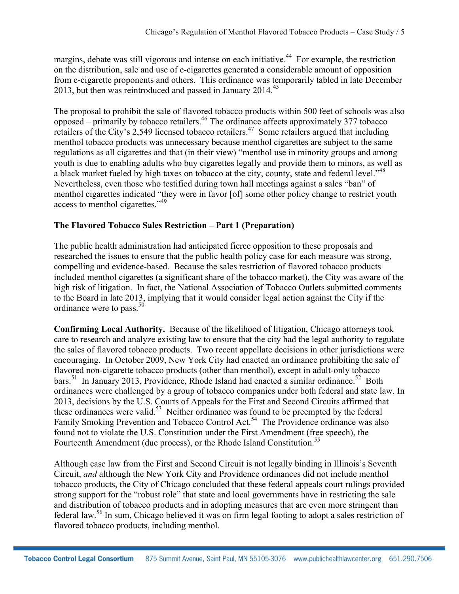margins, debate was still vigorous and intense on each initiative.<sup>44</sup> For example, the restriction on the distribution, sale and use of e-cigarettes generated a considerable amount of opposition from e-cigarette proponents and others. This ordinance was temporarily tabled in late December 2013, but then was reintroduced and passed in January  $2014<sup>45</sup>$ 

The proposal to prohibit the sale of flavored tobacco products within 500 feet of schools was also opposed – primarily by tobacco retailers. <sup>46</sup> The ordinance affects approximately 377 tobacco retailers of the City's 2,549 licensed tobacco retailers. <sup>47</sup> Some retailers argued that including menthol tobacco products was unnecessary because menthol cigarettes are subject to the same regulations as all cigarettes and that (in their view) "menthol use in minority groups and among youth is due to enabling adults who buy cigarettes legally and provide them to minors, as well as a black market fueled by high taxes on tobacco at the city, county, state and federal level."<sup>48</sup> Nevertheless, even those who testified during town hall meetings against a sales "ban" of menthol cigarettes indicated "they were in favor [of] some other policy change to restrict youth access to menthol cigarettes."49

# **The Flavored Tobacco Sales Restriction – Part 1 (Preparation)**

The public health administration had anticipated fierce opposition to these proposals and researched the issues to ensure that the public health policy case for each measure was strong, compelling and evidence-based. Because the sales restriction of flavored tobacco products included menthol cigarettes (a significant share of the tobacco market), the City was aware of the high risk of litigation. In fact, the National Association of Tobacco Outlets submitted comments to the Board in late 2013, implying that it would consider legal action against the City if the ordinance were to pass. $50$ 

**Confirming Local Authority.** Because of the likelihood of litigation, Chicago attorneys took care to research and analyze existing law to ensure that the city had the legal authority to regulate the sales of flavored tobacco products. Two recent appellate decisions in other jurisdictions were encouraging. In October 2009, New York City had enacted an ordinance prohibiting the sale of flavored non-cigarette tobacco products (other than menthol), except in adult-only tobacco bars.<sup>51</sup> In January 2013, Providence, Rhode Island had enacted a similar ordinance.<sup>52</sup> Both ordinances were challenged by a group of tobacco companies under both federal and state law. In 2013, decisions by the U.S. Courts of Appeals for the First and Second Circuits affirmed that these ordinances were valid.<sup>53</sup> Neither ordinance was found to be preempted by the federal Family Smoking Prevention and Tobacco Control Act.<sup>54</sup> The Providence ordinance was also found not to violate the U.S. Constitution under the First Amendment (free speech), the Fourteenth Amendment (due process), or the Rhode Island Constitution.<sup>55</sup>

Although case law from the First and Second Circuit is not legally binding in Illinois's Seventh Circuit, *and* although the New York City and Providence ordinances did not include menthol tobacco products, the City of Chicago concluded that these federal appeals court rulings provided strong support for the "robust role" that state and local governments have in restricting the sale and distribution of tobacco products and in adopting measures that are even more stringent than federal law.<sup>56</sup> In sum, Chicago believed it was on firm legal footing to adopt a sales restriction of flavored tobacco products, including menthol.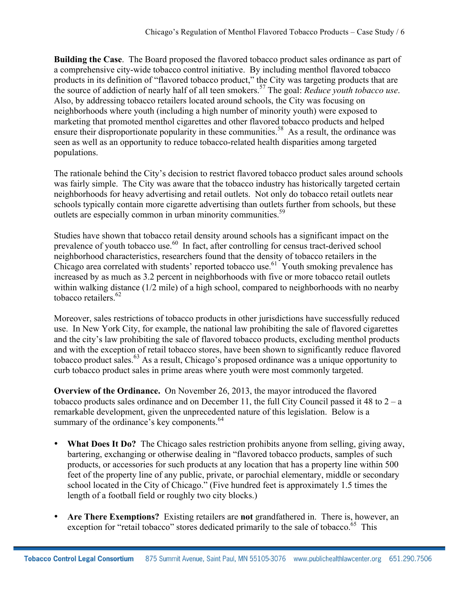**Building the Case**. The Board proposed the flavored tobacco product sales ordinance as part of a comprehensive city-wide tobacco control initiative. By including menthol flavored tobacco products in its definition of "flavored tobacco product," the City was targeting products that are the source of addiction of nearly half of all teen smokers. <sup>57</sup> The goal: *Reduce youth tobacco use*. Also, by addressing tobacco retailers located around schools, the City was focusing on neighborhoods where youth (including a high number of minority youth) were exposed to marketing that promoted menthol cigarettes and other flavored tobacco products and helped ensure their disproportionate popularity in these communities.<sup>58</sup> As a result, the ordinance was seen as well as an opportunity to reduce tobacco-related health disparities among targeted populations.

The rationale behind the City's decision to restrict flavored tobacco product sales around schools was fairly simple. The City was aware that the tobacco industry has historically targeted certain neighborhoods for heavy advertising and retail outlets. Not only do tobacco retail outlets near schools typically contain more cigarette advertising than outlets further from schools, but these outlets are especially common in urban minority communities.<sup>59</sup>

Studies have shown that tobacco retail density around schools has a significant impact on the prevalence of youth tobacco use.<sup>60</sup> In fact, after controlling for census tract-derived school neighborhood characteristics, researchers found that the density of tobacco retailers in the Chicago area correlated with students' reported tobacco use.<sup>61</sup> Youth smoking prevalence has increased by as much as 3.2 percent in neighborhoods with five or more tobacco retail outlets within walking distance (1/2 mile) of a high school, compared to neighborhoods with no nearby tobacco retailers $62$ 

Moreover, sales restrictions of tobacco products in other jurisdictions have successfully reduced use. In New York City, for example, the national law prohibiting the sale of flavored cigarettes and the city's law prohibiting the sale of flavored tobacco products, excluding menthol products and with the exception of retail tobacco stores, have been shown to significantly reduce flavored tobacco product sales.<sup>63</sup> As a result, Chicago's proposed ordinance was a unique opportunity to curb tobacco product sales in prime areas where youth were most commonly targeted.

**Overview of the Ordinance.** On November 26, 2013, the mayor introduced the flavored tobacco products sales ordinance and on December 11, the full City Council passed it 48 to  $2 - a$ remarkable development, given the unprecedented nature of this legislation. Below is a summary of the ordinance's key components.<sup>64</sup>

- **What Does It Do?** The Chicago sales restriction prohibits anyone from selling, giving away, bartering, exchanging or otherwise dealing in "flavored tobacco products, samples of such products, or accessories for such products at any location that has a property line within 500 feet of the property line of any public, private, or parochial elementary, middle or secondary school located in the City of Chicago." (Five hundred feet is approximately 1.5 times the length of a football field or roughly two city blocks.)
- **Are There Exemptions?** Existing retailers are **not** grandfathered in. There is, however, an exception for "retail tobacco" stores dedicated primarily to the sale of tobacco.<sup>65</sup> This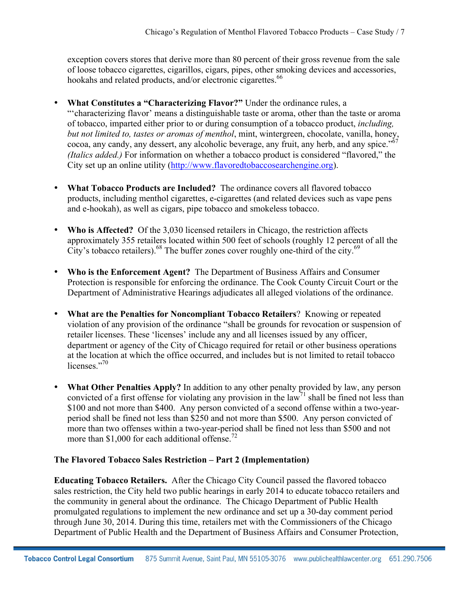exception covers stores that derive more than 80 percent of their gross revenue from the sale of loose tobacco cigarettes, cigarillos, cigars, pipes, other smoking devices and accessories, hookahs and related products, and/or electronic cigarettes.<sup>66</sup>

- **What Constitutes a "Characterizing Flavor?"** Under the ordinance rules, a "'characterizing flavor' means a distinguishable taste or aroma, other than the taste or aroma of tobacco, imparted either prior to or during consumption of a tobacco product, *including, but not limited to, tastes or aromas of menthol*, mint, wintergreen, chocolate, vanilla, honey, cocoa, any candy, any dessert, any alcoholic beverage, any fruit, any herb, and any spice."<sup>6</sup> *(Italics added.)* For information on whether a tobacco product is considered "flavored," the City set up an online utility ([http://www.flavoredtobaccosearchengine.org\)](http://www.flavoredtobaccosearchengine.org/).
- **What Tobacco Products are Included?** The ordinance covers all flavored tobacco products, including menthol cigarettes, e-cigarettes (and related devices such as vape pens and e-hookah), as well as cigars, pipe tobacco and smokeless tobacco.
- Who is Affected? Of the 3,030 licensed retailers in Chicago, the restriction affects approximately 355 retailers located within 500 feet of schools (roughly 12 percent of all the City's tobacco retailers).<sup>68</sup> The buffer zones cover roughly one-third of the city.<sup>69</sup>
- **Who is the Enforcement Agent?** The Department of Business Affairs and Consumer Protection is responsible for enforcing the ordinance. The Cook County Circuit Court or the Department of Administrative Hearings adjudicates all alleged violations of the ordinance.
- **What are the Penalties for Noncompliant Tobacco Retailers**? Knowing or repeated violation of any provision of the ordinance "shall be grounds for revocation or suspension of retailer licenses. These 'licenses' include any and all licenses issued by any officer, department or agency of the City of Chicago required for retail or other business operations at the location at which the office occurred, and includes but is not limited to retail tobacco licenses."70
- **What Other Penalties Apply?** In addition to any other penalty provided by law, any person convicted of a first offense for violating any provision in the law<sup>71</sup> shall be fined not less than \$100 and not more than \$400. Any person convicted of a second offense within a two-yearperiod shall be fined not less than \$250 and not more than \$500. Any person convicted of more than two offenses within a two-year-period shall be fined not less than \$500 and not more than \$1,000 for each additional offense.<sup>72</sup>

#### **The Flavored Tobacco Sales Restriction – Part 2 (Implementation)**

**Educating Tobacco Retailers.** After the Chicago City Council passed the flavored tobacco sales restriction, the City held two public hearings in early 2014 to educate tobacco retailers and the community in general about the ordinance. The Chicago Department of Public Health promulgated regulations to implement the new ordinance and set up a 30-day comment period through June 30, 2014. During this time, retailers met with the Commissioners of the Chicago Department of Public Health and the Department of Business Affairs and Consumer Protection,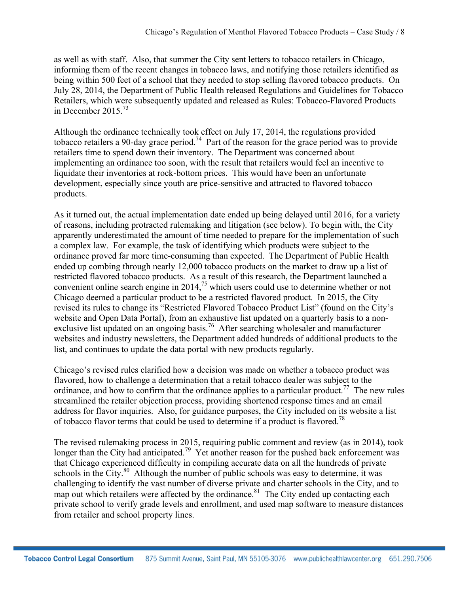as well as with staff. Also, that summer the City sent letters to tobacco retailers in Chicago, informing them of the recent changes in tobacco laws, and notifying those retailers identified as being within 500 feet of a school that they needed to stop selling flavored tobacco products. On July 28, 2014, the Department of Public Health released Regulations and Guidelines for Tobacco Retailers, which were subsequently updated and released as Rules: Tobacco-Flavored Products in December 2015.<sup>73</sup>

Although the ordinance technically took effect on July 17, 2014, the regulations provided tobacco retailers a 90-day grace period.<sup>74</sup> Part of the reason for the grace period was to provide retailers time to spend down their inventory. The Department was concerned about implementing an ordinance too soon, with the result that retailers would feel an incentive to liquidate their inventories at rock-bottom prices. This would have been an unfortunate development, especially since youth are price-sensitive and attracted to flavored tobacco products.

As it turned out, the actual implementation date ended up being delayed until 2016, for a variety of reasons, including protracted rulemaking and litigation (see below). To begin with, the City apparently underestimated the amount of time needed to prepare for the implementation of such a complex law. For example, the task of identifying which products were subject to the ordinance proved far more time-consuming than expected. The Department of Public Health ended up combing through nearly 12,000 tobacco products on the market to draw up a list of restricted flavored tobacco products. As a result of this research, the Department launched a convenient online search engine in  $2014<sup>75</sup>$  which users could use to determine whether or not Chicago deemed a particular product to be a restricted flavored product. In 2015, the City revised its rules to change its "Restricted Flavored Tobacco Product List" (found on the City's website and Open Data Portal), from an exhaustive list updated on a quarterly basis to a nonexclusive list updated on an ongoing basis.<sup>76</sup> After searching wholesaler and manufacturer websites and industry newsletters, the Department added hundreds of additional products to the list, and continues to update the data portal with new products regularly.

Chicago's revised rules clarified how a decision was made on whether a tobacco product was flavored, how to challenge a determination that a retail tobacco dealer was subject to the ordinance, and how to confirm that the ordinance applies to a particular product.<sup>77</sup> The new rules streamlined the retailer objection process, providing shortened response times and an email address for flavor inquiries. Also, for guidance purposes, the City included on its website a list of tobacco flavor terms that could be used to determine if a product is flavored.<sup>78</sup>

The revised rulemaking process in 2015, requiring public comment and review (as in 2014), took longer than the City had anticipated.<sup>79</sup> Yet another reason for the pushed back enforcement was that Chicago experienced difficulty in compiling accurate data on all the hundreds of private schools in the City. $80$  Although the number of public schools was easy to determine, it was challenging to identify the vast number of diverse private and charter schools in the City, and to map out which retailers were affected by the ordinance.<sup>81</sup> The City ended up contacting each private school to verify grade levels and enrollment, and used map software to measure distances from retailer and school property lines.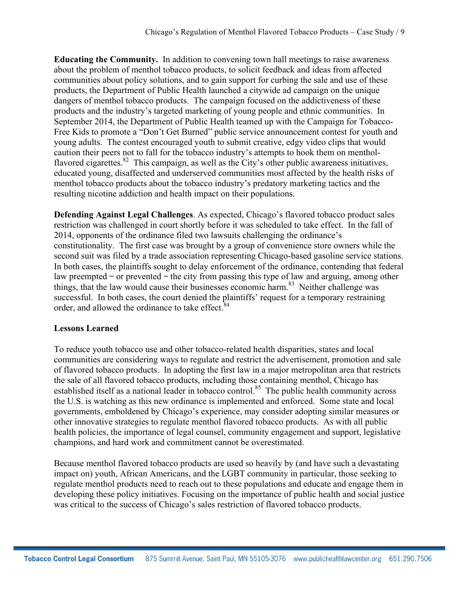**Educating the Community.** In addition to convening town hall meetings to raise awareness about the problem of menthol tobacco products, to solicit feedback and ideas from affected communities about policy solutions, and to gain support for curbing the sale and use of these products, the Department of Public Health launched a citywide ad campaign on the unique dangers of menthol tobacco products. The campaign focused on the addictiveness of these products and the industry's targeted marketing of young people and ethnic communities. In September 2014, the Department of Public Health teamed up with the Campaign for Tobacco-Free Kids to promote a "Don't Get Burned" public service announcement contest for youth and young adults. The contest encouraged youth to submit creative, edgy video clips that would caution their peers not to fall for the tobacco industry's attempts to hook them on mentholflavored cigarettes.<sup>82</sup> This campaign, as well as the City's other public awareness initiatives, educated young, disaffected and underserved communities most affected by the health risks of menthol tobacco products about the tobacco industry's predatory marketing tactics and the resulting nicotine addiction and health impact on their populations.

**Defending Against Legal Challenges**. As expected, Chicago's flavored tobacco product sales restriction was challenged in court shortly before it was scheduled to take effect. In the fall of 2014, opponents of the ordinance filed two lawsuits challenging the ordinance's constitutionality. The first case was brought by a group of convenience store owners while the second suit was filed by a trade association representing Chicago-based gasoline service stations. In both cases, the plaintiffs sought to delay enforcement of the ordinance, contending that federal law preempted  $\sim$  or prevented  $\sim$  the city from passing this type of law and arguing, among other things, that the law would cause their businesses economic harm.<sup>83</sup> Neither challenge was successful. In both cases, the court denied the plaintiffs' request for a temporary restraining order, and allowed the ordinance to take effect.<sup>84</sup>

#### **Lessons Learned**

To reduce youth tobacco use and other tobacco-related health disparities, states and local communities are considering ways to regulate and restrict the advertisement, promotion and sale of flavored tobacco products. In adopting the first law in a major metropolitan area that restricts the sale of all flavored tobacco products, including those containing menthol, Chicago has established itself as a national leader in tobacco control.<sup>85</sup> The public health community across the U.S. is watching as this new ordinance is implemented and enforced. Some state and local governments, emboldened by Chicago's experience, may consider adopting similar measures or other innovative strategies to regulate menthol flavored tobacco products. As with all public health policies, the importance of legal counsel, community engagement and support, legislative champions, and hard work and commitment cannot be overestimated.

Because menthol flavored tobacco products are used so heavily by (and have such a devastating impact on) youth, African Americans, and the LGBT community in particular, those seeking to regulate menthol products need to reach out to these populations and educate and engage them in developing these policy initiatives. Focusing on the importance of public health and social justice was critical to the success of Chicago's sales restriction of flavored tobacco products.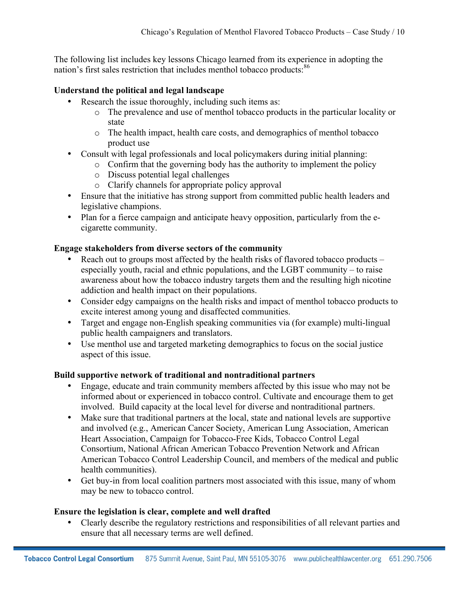The following list includes key lessons Chicago learned from its experience in adopting the nation's first sales restriction that includes menthol tobacco products:<sup>86</sup>

#### **Understand the political and legal landscape**

- Research the issue thoroughly, including such items as:
	- o The prevalence and use of menthol tobacco products in the particular locality or state
	- o The health impact, health care costs, and demographics of menthol tobacco product use
- Consult with legal professionals and local policymakers during initial planning:
	- o Confirm that the governing body has the authority to implement the policy
		- o Discuss potential legal challenges
		- o Clarify channels for appropriate policy approval
- Ensure that the initiative has strong support from committed public health leaders and legislative champions.
- Plan for a fierce campaign and anticipate heavy opposition, particularly from the ecigarette community.

#### **Engage stakeholders from diverse sectors of the community**

- Reach out to groups most affected by the health risks of flavored tobacco products especially youth, racial and ethnic populations, and the LGBT community – to raise awareness about how the tobacco industry targets them and the resulting high nicotine addiction and health impact on their populations.
- Consider edgy campaigns on the health risks and impact of menthol tobacco products to excite interest among young and disaffected communities.
- Target and engage non-English speaking communities via (for example) multi-lingual public health campaigners and translators.
- Use menthol use and targeted marketing demographics to focus on the social justice aspect of this issue.

#### **Build supportive network of traditional and nontraditional partners**

- Engage, educate and train community members affected by this issue who may not be informed about or experienced in tobacco control. Cultivate and encourage them to get involved. Build capacity at the local level for diverse and nontraditional partners.
- Make sure that traditional partners at the local, state and national levels are supportive and involved (e.g., American Cancer Society, American Lung Association, American Heart Association, Campaign for Tobacco-Free Kids, Tobacco Control Legal Consortium, National African American Tobacco Prevention Network and African American Tobacco Control Leadership Council, and members of the medical and public health communities).
- Get buy-in from local coalition partners most associated with this issue, many of whom may be new to tobacco control.

#### **Ensure the legislation is clear, complete and well drafted**

• Clearly describe the regulatory restrictions and responsibilities of all relevant parties and ensure that all necessary terms are well defined.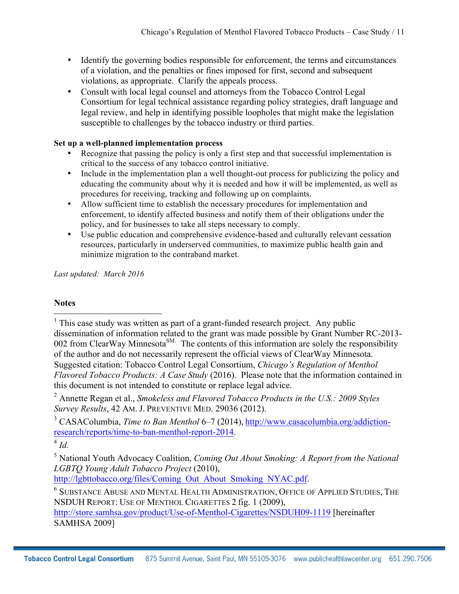- Identify the governing bodies responsible for enforcement, the terms and circumstances of a violation, and the penalties or fines imposed for first, second and subsequent violations, as appropriate. Clarify the appeals process.
- Consult with local legal counsel and attorneys from the Tobacco Control Legal Consortium for legal technical assistance regarding policy strategies, draft language and legal review, and help in identifying possible loopholes that might make the legislation susceptible to challenges by the tobacco industry or third parties.

#### **Set up a well-planned implementation process**

- Recognize that passing the policy is only a first step and that successful implementation is critical to the success of any tobacco control initiative.
- Include in the implementation plan a well thought-out process for publicizing the policy and educating the community about why it is needed and how it will be implemented, as well as procedures for receiving, tracking and following up on complaints.
- Allow sufficient time to establish the necessary procedures for implementation and enforcement, to identify affected business and notify them of their obligations under the policy, and for businesses to take all steps necessary to comply.
- Use public education and comprehensive evidence-based and culturally relevant cessation resources, particularly in underserved communities, to maximize public health gain and minimize migration to the contraband market.

*Last updated: March 2016*

#### **Notes**

 $<sup>1</sup>$  This case study was written as part of a grant-funded research project. Any public</sup> dissemination of information related to the grant was made possible by Grant Number RC-2013- 002 from ClearWay Minnesota<sup>SM.</sup> The contents of this information are solely the responsibility of the author and do not necessarily represent the official views of ClearWay Minnesota. Suggested citation: Tobacco Control Legal Consortium, *Chicago's Regulation of Menthol Flavored Tobacco Products: A Case Study* (2016). Please note that the information contained in this document is not intended to constitute or replace legal advice.

<sup>2</sup> Annette Regan et al., *Smokeless and Flavored Tobacco Products in the U.S.: 2009 Styles Survey Results*, 42 AM. J. PREVENTIVE MED. 29036 (2012).

<sup>3</sup> CASAColumbia, *Time to Ban Menthol* 6–7 (2014), http://www.casacolumbia.org/addictionresearch/reports/time-to-ban-menthol-report-2014. 4 *Id.*

<sup>5</sup> National Youth Advocacy Coalition, *Coming Out About Smoking: A Report from the National LGBTQ Young Adult Tobacco Project* (2010),<br>http://lgbttobacco.org/files/Coming Out About Smoking NYAC.pdf.

 $^6$  SUBSTANCE ABUSE AND MENTAL HEALTH ADMINISTRATION, OFFICE OF APPLIED STUDIES, THE NSDUH REPORT: USE OF MENTHOL CIGARETTES 2 fig. 1 (2009), http://store.samhsa.gov/product/Use-of-Menthol-Cigarettes/NSDUH09-1119 [hereinafter SAMHSA 2009]

**Tobacco Control Legal Consortium** 875 Summit Avenue, Saint Paul, MN 55105-3076 www.publichealthlawcenter.org 651.290.7506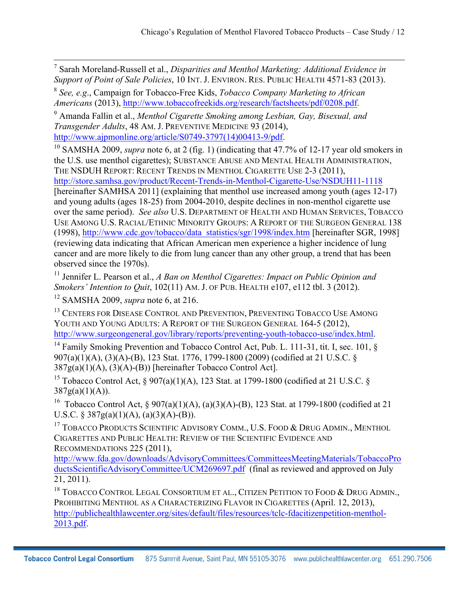<sup>7</sup> Sarah Moreland-Russell et al., *Disparities and Menthol Marketing: Additional Evidence in Support of Point of Sale Policies*, 10 INT. J. ENVIRON. RES. PUBLIC HEALTH 4571-83 (2013).

<sup>8</sup> *See, e.g*., Campaign for Tobacco-Free Kids, *Tobacco Company Marketing to African Americans* (2013), http://www.tobaccofreekids.org/research/factsheets/pdf/0208.pdf.

<sup>9</sup> Amanda Fallin et al., *Menthol Cigarette Smoking among Lesbian, Gay, Bisexual, and Transgender Adults*, 48 AM. J. PREVENTIVE MEDICINE 93 (2014),

http://www.ajpmonline.org/article/S0749-3797(14)00413-9/pdf.<br><sup>10</sup> SAMSHA 2009, *supra* note 6, at 2 (fig. 1) (indicating that 47.7% of 12-17 year old smokers in the U.S. use menthol cigarettes); SUBSTANCE ABUSE AND MENTAL HEALTH ADMINISTRATION, THE NSDUH REPORT: RECENT TRENDS IN MENTHOL CIGARETTE USE 2-3 (2011), http://store.samhsa.gov/product/Recent-Trends-in-Menthol-Cigarette-Use/NSDUH11-1118 [hereinafter SAMHSA 2011] (explaining that menthol use increased among youth (ages 12-17) and young adults (ages 18-25) from 2004-2010, despite declines in non-menthol cigarette use

over the same period). *See also* U.S. DEPARTMENT OF HEALTH AND HUMAN SERVICES, TOBACCO USE AMONG U.S. RACIAL/ETHNIC MINORITY GROUPS: A REPORT OF THE SURGEON GENERAL 138 (1998), http://www.cdc.gov/tobacco/data\_statistics/sgr/1998/index.htm [hereinafter SGR, 1998] (reviewing data indicating that African American men experience a higher incidence of lung cancer and are more likely to die from lung cancer than any other group, a trend that has been observed since the 1970s).

<sup>11</sup> Jennifer L. Pearson et al., *A Ban on Menthol Cigarettes: Impact on Public Opinion and Smokers' Intention to Quit*, 102(11) AM. J. OF PUB. HEALTH e107, e112 tbl. 3 (2012).

<sup>12</sup> SAMSHA 2009, *supra* note 6, at 216.

<sup>13</sup> CENTERS FOR DISEASE CONTROL AND PREVENTION, PREVENTING TOBACCO USE AMONG YOUTH AND YOUNG ADULTS: A REPORT OF THE SURGEON GENERAL 164-5 (2012), http://www.surgeongeneral.gov/library/reports/preventing-youth-tobacco-use/index.html.<br><sup>14</sup> Family Smoking Prevention and Tobacco Control Act, Pub. L. 111-31, tit. I, sec. 101, §

907(a)(1)(A), (3)(A)-(B), 123 Stat. 1776, 1799-1800 (2009) (codified at 21 U.S.C. §  $387g(a)(1)(A), (3)(A)-(B)$  [hereinafter Tobacco Control Act].

<sup>15</sup> Tobacco Control Act, § 907(a)(1)(A), 123 Stat. at 1799-1800 (codified at 21 U.S.C. §  $387g(a)(1)(A)).$ 

16 Tobacco Control Act, § 907(a)(1)(A), (a)(3)(A)-(B), 123 Stat. at 1799-1800 (codified at 21 U.S.C. § 387g(a)(1)(A), (a)(3)(A)-(B)).

<sup>17</sup> TOBACCO PRODUCTS SCIENTIFIC ADVISORY COMM., U.S. FOOD & DRUG ADMIN., MENTHOL CIGARETTES AND PUBLIC HEALTH: REVIEW OF THE SCIENTIFIC EVIDENCE AND RECOMMENDATIONS 225 (2011),

http://www.fda.gov/downloads/AdvisoryCommittees/CommitteesMeetingMaterials/TobaccoPro ductsScientificAdvisoryCommittee/UCM269697.pdf (final as reviewed and approved on July 21, 2011).

<sup>18</sup> TOBACCO CONTROL LEGAL CONSORTIUM ET AL., CITIZEN PETITION TO FOOD & DRUG ADMIN., PROHIBITING MENTHOL AS A CHARACTERIZING FLAVOR IN CIGARETTES (April. 12, 2013), http://publichealthlawcenter.org/sites/default/files/resources/tclc-fdacitizenpetition-menthol-2013.pdf.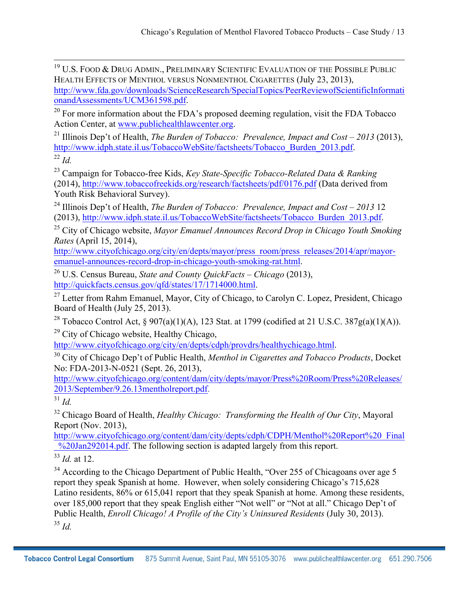$^{19}$  U.S. Food & Drug Admin., Preliminary Scientific Evaluation of the Possible Public HEALTH EFFECTS OF MENTHOL VERSUS NONMENTHOL CIGARETTES (July 23, 2013), http://www.fda.gov/downloads/ScienceResearch/SpecialTopics/PeerReviewofScientificInformati onandAssessments/UCM361598.pdf.

<sup>20</sup> For more information about the FDA's proposed deeming regulation, visit the FDA Tobacco Action Center, at www.publichealthlawcenter.org.

<sup>21</sup> Illinois Dep't of Health, *The Burden of Tobacco: Prevalence, Impact and Cost – 2013* (2013), http://www.idph.state.il.us/TobaccoWebSite/factsheets/Tobacco\_Burden\_2013.pdf. 22 *Id.*

<sup>23</sup> Campaign for Tobacco-free Kids, *Key State-Specific Tobacco-Related Data & Ranking* (2014), http://www.tobaccofreekids.org/research/factsheets/pdf/0176.pdf (Data derived from Youth Risk Behavioral Survey).

<sup>24</sup> Illinois Dep't of Health, *The Burden of Tobacco: Prevalence, Impact and Cost – 2013* 12 (2013), http://www.idph.state.il.us/TobaccoWebSite/factsheets/Tobacco\_Burden\_2013.pdf.

<sup>25</sup> City of Chicago website, *Mayor Emanuel Announces Record Drop in Chicago Youth Smoking Rates* (April 15, 2014),

http://www.cityofchicago.org/city/en/depts/mayor/press\_room/press\_releases/2014/apr/mayoremanuel-announces-record-drop-in-chicago-youth-smoking-rat.html.

<sup>26</sup> U.S. Census Bureau, *State and County QuickFacts – Chicago* (2013), http://quickfacts.census.gov/qfd/states/17/1714000.html.

<sup>27</sup> Letter from Rahm Emanuel, Mayor, City of Chicago, to Carolyn C. Lopez, President, Chicago Board of Health (July 25, 2013).

<sup>28</sup> Tobacco Control Act, § 907(a)(1)(A), 123 Stat. at 1799 (codified at 21 U.S.C. 387g(a)(1)(A)).

<sup>29</sup> City of Chicago website, Healthy Chicago,<br>http://www.cityofchicago.org/city/en/depts/cdph/provdrs/healthychicago.html.

<sup>30</sup> City of Chicago Dep't of Public Health, *Menthol in Cigarettes and Tobacco Products*, Docket No: FDA-2013-N-0521 (Sept. 26, 2013),

http://www.cityofchicago.org/content/dam/city/depts/mayor/Press%20Room/Press%20Releases/ 2013/September/9.26.13mentholreport.pdf.

<sup>31</sup> *Id.*

<sup>32</sup> Chicago Board of Health, *Healthy Chicago: Transforming the Health of Our City*, Mayoral Report (Nov. 2013),

http://www.cityofchicago.org/content/dam/city/depts/cdph/CDPH/Menthol%20Report%20\_Final  $\frac{\sqrt{20}}{20}$   $\frac{\sqrt{20}}{20}$   $\frac{14.6}{20}$ . The following section is adapted largely from this report.

<sup>33</sup> *Id.* at 12.

<sup>34</sup> According to the Chicago Department of Public Health, "Over 255 of Chicagoans over age 5 report they speak Spanish at home. However, when solely considering Chicago's 715,628 Latino residents, 86% or 615,041 report that they speak Spanish at home. Among these residents, over 185,000 report that they speak English either "Not well" or "Not at all." Chicago Dep't of Public Health, *Enroll Chicago! A Profile of the City's Uninsured Residents* (July 30, 2013). <sup>35</sup> *Id.*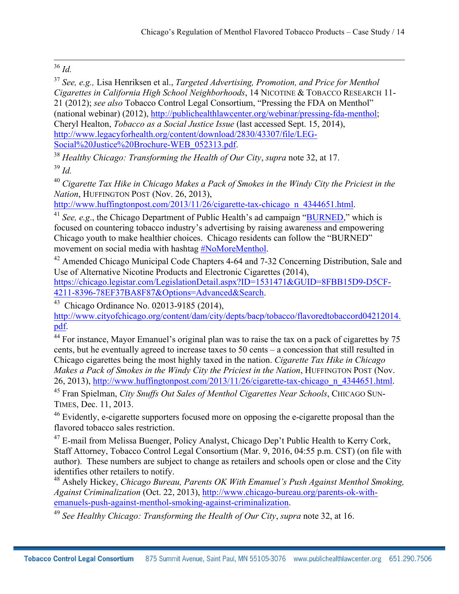# <sup>36</sup> *Id.*

<sup>37</sup> *See, e.g.,* Lisa Henriksen et al., *Targeted Advertising, Promotion, and Price for Menthol Cigarettes in California High School Neighborhoods*, 14 NICOTINE & TOBACCO RESEARCH 11- 21 (2012); *see also* Tobacco Control Legal Consortium, "Pressing the FDA on Menthol" (national webinar) (2012), http://publichealthlawcenter.org/webinar/pressing-fda-menthol; Cheryl Healton, *Tobacco as a Social Justice Issue* (last accessed Sept. 15, 2014), http://www.legacyforhealth.org/content/download/2830/43307/file/LEG-Social%20Justice%20Brochure-WEB\_052313.pdf.

<sup>38</sup> *Healthy Chicago: Transforming the Health of Our City*, *supra* note 32, at 17. <sup>39</sup> *Id.*

<sup>40</sup> *Cigarette Tax Hike in Chicago Makes a Pack of Smokes in the Windy City the Priciest in the Nation*, HUFFINGTON POST (Nov. 26, 2013),<br>http://www.huffingtonpost.com/2013/11/26/cigarette-tax-chicago n 4344651.html.

<sup>41</sup> *See, e.g.*, the Chicago Department of Public Health's ad campaign "BURNED," which is focused on countering tobacco industry's advertising by raising awareness and empowering Chicago youth to make healthier choices. Chicago residents can follow the "BURNED" movement on social media with hashtag #NoMoreMenthol.

<sup>42</sup> Amended Chicago Municipal Code Chapters 4-64 and 7-32 Concerning Distribution, Sale and Use of Alternative Nicotine Products and Electronic Cigarettes (2014), https://chicago.legistar.com/LegislationDetail.aspx?ID=1531471&GUID=8FBB15D9-D5CF-

4211-8396-78EF37BA8F87&Options=Advanced&Search. 43 Chicago Ordinance No. 02013-9185 (2014),

http://www.cityofchicago.org/content/dam/city/depts/bacp/tobacco/flavoredtobaccord04212014. pdf.

<sup>44</sup> For instance, Mayor Emanuel's original plan was to raise the tax on a pack of cigarettes by 75 cents, but he eventually agreed to increase taxes to 50 cents – a concession that still resulted in Chicago cigarettes being the most highly taxed in the nation. *Cigarette Tax Hike in Chicago Makes a Pack of Smokes in the Windy City the Priciest in the Nation*, HUFFINGTON POST (Nov. 26, 2013), http://www.huffingtonpost.com/2013/11/26/cigarette-tax-chicago\_n\_4344651.html.

<sup>45</sup> Fran Spielman, *City Snuffs Out Sales of Menthol Cigarettes Near Schools*, CHICAGO SUN-TIMES, Dec. 11, 2013.

<sup>46</sup> Evidently, e-cigarette supporters focused more on opposing the e-cigarette proposal than the flavored tobacco sales restriction.

<sup>47</sup> E-mail from Melissa Buenger, Policy Analyst, Chicago Dep't Public Health to Kerry Cork, Staff Attorney, Tobacco Control Legal Consortium (Mar. 9, 2016, 04:55 p.m. CST) (on file with author). These numbers are subject to change as retailers and schools open or close and the City identifies other retailers to notify.

<sup>48</sup> Ashely Hickey, *Chicago Bureau, Parents OK With Emanuel's Push Against Menthol Smoking, Against Criminalization* (Oct. 22, 2013), http://www.chicago-bureau.org/parents-ok-withemanuels-push-against-menthol-smoking-against-criminalization.

<sup>49</sup> *See Healthy Chicago: Transforming the Health of Our City*, *supra* note 32, at 16.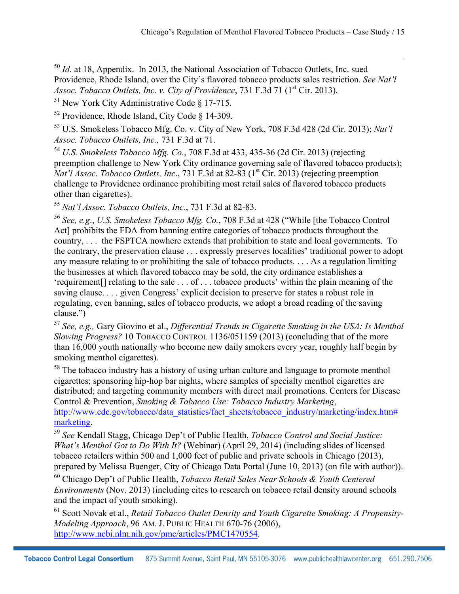<sup>50</sup> *Id.* at 18, Appendix. In 2013, the National Association of Tobacco Outlets, Inc. sued Providence, Rhode Island, over the City's flavored tobacco products sales restriction. *See Nat'l Assoc. Tobacco Outlets, Inc. v. City of Providence*, 731 F.3d 71 (1<sup>st</sup> Cir. 2013).

<sup>51</sup> New York City Administrative Code § 17-715.

<sup>52</sup> Providence, Rhode Island, City Code § 14-309.

<sup>53</sup> U.S. Smokeless Tobacco Mfg. Co. v. City of New York, 708 F.3d 428 (2d Cir. 2013); *Nat'l Assoc. Tobacco Outlets, Inc.,* 731 F.3d at 71.

<sup>54</sup> *U.S. Smokeless Tobacco Mfg. Co.*, 708 F.3d at 433, 435-36 (2d Cir. 2013) (rejecting preemption challenge to New York City ordinance governing sale of flavored tobacco products); *Nat'l Assoc. Tobacco Outlets, Inc.*, 731 F.3d at 82-83 (1<sup>st</sup> Cir. 2013) (rejecting preemption challenge to Providence ordinance prohibiting most retail sales of flavored tobacco products other than cigarettes).

<sup>55</sup> *Nat'l Assoc. Tobacco Outlets, Inc.*, 731 F.3d at 82-83.

<sup>56</sup> *See, e.g*., *U.S. Smokeless Tobacco Mfg. Co.*, 708 F.3d at 428 ("While [the Tobacco Control Act] prohibits the FDA from banning entire categories of tobacco products throughout the country, . . . the FSPTCA nowhere extends that prohibition to state and local governments. To the contrary, the preservation clause . . . expressly preserves localities' traditional power to adopt any measure relating to or prohibiting the sale of tobacco products. . . . As a regulation limiting the businesses at which flavored tobacco may be sold, the city ordinance establishes a 'requirement[] relating to the sale . . . of . . . tobacco products' within the plain meaning of the saving clause. . . . given Congress' explicit decision to preserve for states a robust role in regulating, even banning, sales of tobacco products, we adopt a broad reading of the saving clause.")

<sup>57</sup> *See, e.g.,* Gary Giovino et al., *Differential Trends in Cigarette Smoking in the USA: Is Menthol Slowing Progress?* 10 TOBACCO CONTROL 1136/051159 (2013) (concluding that of the more than 16,000 youth nationally who become new daily smokers every year, roughly half begin by smoking menthol cigarettes).

<sup>58</sup> The tobacco industry has a history of using urban culture and language to promote menthol cigarettes; sponsoring hip-hop bar nights, where samples of specialty menthol cigarettes are distributed; and targeting community members with direct mail promotions. Centers for Disease Control & Prevention, *Smoking & Tobacco Use: Tobacco Industry Marketing*, http://www.cdc.gov/tobacco/data\_statistics/fact\_sheets/tobacco\_industry/marketing/index.htm#

marketing. 59 *See* Kendall Stagg, Chicago Dep't of Public Health, *Tobacco Control and Social Justice: What's Menthol Got to Do With It?* (Webinar) (April 29, 2014) (including slides of licensed tobacco retailers within 500 and 1,000 feet of public and private schools in Chicago (2013), prepared by Melissa Buenger, City of Chicago Data Portal (June 10, 2013) (on file with author)).

<sup>60</sup> Chicago Dep't of Public Health, *Tobacco Retail Sales Near Schools & Youth Centered Environments* (Nov. 2013) (including cites to research on tobacco retail density around schools and the impact of youth smoking).

<sup>61</sup> Scott Novak et al., *Retail Tobacco Outlet Density and Youth Cigarette Smoking: A Propensity-Modeling Approach*, 96 AM. J. PUBLIC HEALTH 670-76 (2006), http://www.ncbi.nlm.nih.gov/pmc/articles/PMC1470554.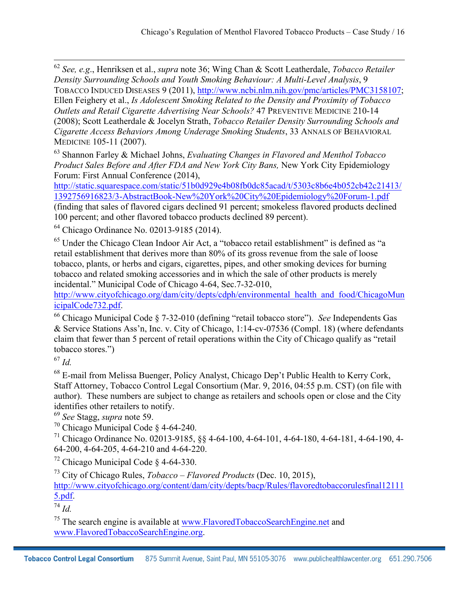<sup>62</sup> *See, e.g*., Henriksen et al., *supra* note 36; Wing Chan & Scott Leatherdale, *Tobacco Retailer Density Surrounding Schools and Youth Smoking Behaviour: A Multi-Level Analysis*, 9 TOBACCO INDUCED DISEASES 9 (2011), http://www.ncbi.nlm.nih.gov/pmc/articles/PMC3158107; Ellen Feighery et al., *Is Adolescent Smoking Related to the Density and Proximity of Tobacco Outlets and Retail Cigarette Advertising Near Schools?* 47 PREVENTIVE MEDICINE 210-14 (2008); Scott Leatherdale & Jocelyn Strath, *Tobacco Retailer Density Surrounding Schools and Cigarette Access Behaviors Among Underage Smoking Students*, 33 ANNALS OF BEHAVIORAL MEDICINE 105-11 (2007).

<sup>63</sup> Shannon Farley & Michael Johns, *Evaluating Changes in Flavored and Menthol Tobacco Product Sales Before and After FDA and New York City Bans,* New York City Epidemiology Forum: First Annual Conference (2014),

http://static.squarespace.com/static/51b0d929e4b08fb0dc85acad/t/5303c8b6e4b052cb42c21413/ 1392756916823/3-AbstractBook-New%20York%20City%20Epidemiology%20Forum-1.pdf (finding that sales of flavored cigars declined 91 percent; smokeless flavored products declined 100 percent; and other flavored tobacco products declined 89 percent).

<sup>64</sup> Chicago Ordinance No. 02013-9185 (2014).

<sup>65</sup> Under the Chicago Clean Indoor Air Act, a "tobacco retail establishment" is defined as "a retail establishment that derives more than 80% of its gross revenue from the sale of loose tobacco, plants, or herbs and cigars, cigarettes, pipes, and other smoking devices for burning tobacco and related smoking accessories and in which the sale of other products is merely incidental." Municipal Code of Chicago 4-64, Sec.7-32-010,

http://www.cityofchicago.org/dam/city/depts/cdph/environmental\_health\_and\_food/ChicagoMun icipalCode732.pdf.

<sup>66</sup> Chicago Municipal Code § 7-32-010 (defining "retail tobacco store"). *See* Independents Gas & Service Stations Ass'n, Inc. v. City of Chicago, 1:14-cv-07536 (Compl. 18) (where defendants claim that fewer than 5 percent of retail operations within the City of Chicago qualify as "retail tobacco stores.")

<sup>67</sup> *Id.*

<sup>68</sup> E-mail from Melissa Buenger, Policy Analyst, Chicago Dep't Public Health to Kerry Cork, Staff Attorney, Tobacco Control Legal Consortium (Mar. 9, 2016, 04:55 p.m. CST) (on file with author). These numbers are subject to change as retailers and schools open or close and the City identifies other retailers to notify.

<sup>69</sup> *See* Stagg, *supra* note 59.

<sup>70</sup> Chicago Municipal Code § 4-64-240.

<sup>71</sup> Chicago Ordinance No. 02013-9185, §§ 4-64-100, 4-64-101, 4-64-180, 4-64-181, 4-64-190, 4- 64-200, 4-64-205, 4-64-210 and 4-64-220.

<sup>72</sup> Chicago Municipal Code  $\S$  4-64-330.

<sup>73</sup> City of Chicago Rules, *Tobacco – Flavored Products* (Dec. 10, 2015),

http://www.cityofchicago.org/content/dam/city/depts/bacp/Rules/flavoredtobaccorulesfinal12111 5.pdf.

<sup>74</sup> *Id.*

<sup>75</sup> The search engine is available at www.FlavoredTobaccoSearchEngine.net and www.FlavoredTobaccoSearchEngine.org.